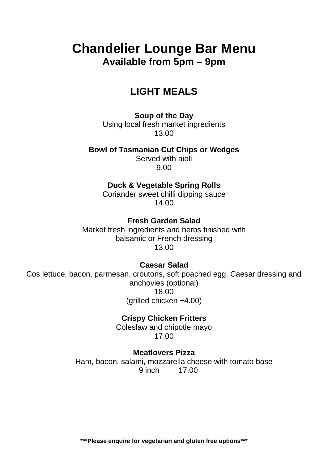# **Chandelier Lounge Bar Menu Available from 5pm – 9pm**

## **LIGHT MEALS**

**Soup of the Day** Using local fresh market ingredients 13.00

**Bowl of Tasmanian Cut Chips or Wedges**

Served with aioli 9.00

**Duck & Vegetable Spring Rolls**

Coriander sweet chilli dipping sauce 14.00

**Fresh Garden Salad**

Market fresh ingredients and herbs finished with balsamic or French dressing 13.00

**Caesar Salad**

Cos lettuce, bacon, parmesan, croutons, soft poached egg, Caesar dressing and anchovies (optional) 18.00 (grilled chicken +4.00)

> **Crispy Chicken Fritters** Coleslaw and chipotle mayo 17.00

**Meatlovers Pizza** Ham, bacon, salami, mozzarella cheese with tomato base 9 inch 17.00

**\*\*\*Please enquire for vegetarian and gluten free options\*\*\***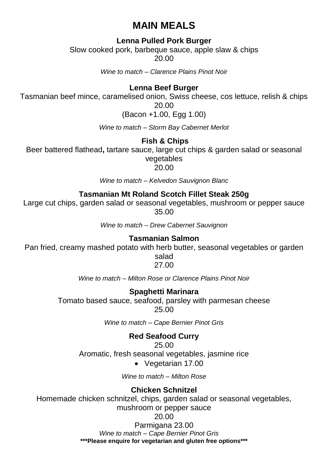## **MAIN MEALS**

## **Lenna Pulled Pork Burger**

Slow cooked pork, barbeque sauce, apple slaw & chips 20.00

*Wine to match – Clarence Plains Pinot Noir* 

### **Lenna Beef Burger**

Tasmanian beef mince, caramelised onion, Swiss cheese, cos lettuce, relish & chips 20.00

(Bacon +1.00, Egg 1.00)

*Wine to match – Storm Bay Cabernet Merlot*

## **Fish & Chips**

Beer battered flathead**,** tartare sauce, large cut chips & garden salad or seasonal vegetables

20.00

*Wine to match – Kelvedon Sauvignon Blanc*

## **Tasmanian Mt Roland Scotch Fillet Steak 250g**

Large cut chips, garden salad or seasonal vegetables, mushroom or pepper sauce 35.00

*Wine to match – Drew Cabernet Sauvignon*

#### **Tasmanian Salmon**

Pan fried, creamy mashed potato with herb butter, seasonal vegetables or garden

salad 27.00

*Wine to match – Milton Rose or Clarence Plains Pinot Noir*

#### **Spaghetti Marinara**

Tomato based sauce, seafood, parsley with parmesan cheese 25.00

*Wine to match – Cape Bernier Pinot Gris*

## **Red Seafood Curry**

25.00

Aromatic, fresh seasonal vegetables, jasmine rice

Vegetarian 17.00

*Wine to match – Milton Rose*

## **Chicken Schnitzel**

Homemade chicken schnitzel, chips, garden salad or seasonal vegetables, mushroom or pepper sauce

#### 20.00

**\*\*\*Please enquire for vegetarian and gluten free options\*\*\*** Parmigana 23.00 *Wine to match – Cape Bernier Pinot Gris*